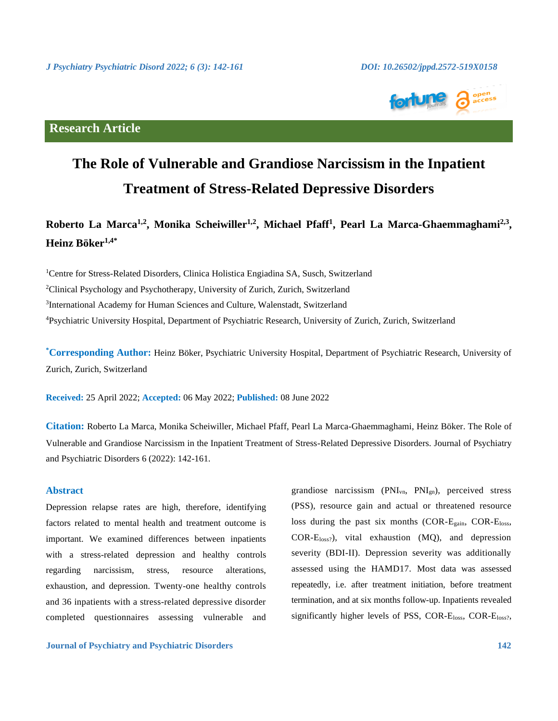

## **Research Article**

# **The Role of Vulnerable and Grandiose Narcissism in the Inpatient Treatment of Stress-Related Depressive Disorders**

## Roberto La Marca<sup>1,2</sup>, Monika Scheiwiller<sup>1,2</sup>, Michael Pfaff<sup>1</sup>, Pearl La Marca-Ghaemmaghami<sup>2,3</sup>, **Heinz Böker1,4\***

<sup>1</sup>Centre for Stress-Related Disorders, Clinica Holistica Engiadina SA, Susch, Switzerland <sup>2</sup>Clinical Psychology and Psychotherapy, University of Zurich, Zurich, Switzerland <sup>3</sup>International Academy for Human Sciences and Culture, Walenstadt, Switzerland <sup>4</sup>Psychiatric University Hospital, Department of Psychiatric Research, University of Zurich, Zurich, Switzerland

**\*Corresponding Author:** Heinz Böker, Psychiatric University Hospital, Department of Psychiatric Research, University of Zurich, Zurich, Switzerland

**Received:** 25 April 2022; **Accepted:** 06 May 2022; **Published:** 08 June 2022

**Citation:** Roberto La Marca, Monika Scheiwiller, Michael Pfaff, Pearl La Marca-Ghaemmaghami, Heinz Böker. The Role of Vulnerable and Grandiose Narcissism in the Inpatient Treatment of Stress-Related Depressive Disorders. Journal of Psychiatry and Psychiatric Disorders 6 (2022): 142-161.

## **Abstract**

Depression relapse rates are high, therefore, identifying factors related to mental health and treatment outcome is important. We examined differences between inpatients with a stress-related depression and healthy controls regarding narcissism, stress, resource alterations, exhaustion, and depression. Twenty-one healthy controls and 36 inpatients with a stress-related depressive disorder completed questionnaires assessing vulnerable and

**Journal of Psychiatry and Psychiatric Disorders 142**

grandiose narcissism (PNIvn, PNIgn), perceived stress (PSS), resource gain and actual or threatened resource loss during the past six months (COR-Egain, COR-Eloss,  $COR-E<sub>loss</sub>$ , vital exhaustion (MQ), and depression severity (BDI-II). Depression severity was additionally assessed using the HAMD17. Most data was assessed repeatedly, i.e. after treatment initiation, before treatment termination, and at six months follow-up. Inpatients revealed significantly higher levels of PSS, COR-Eloss, COR-Eloss?,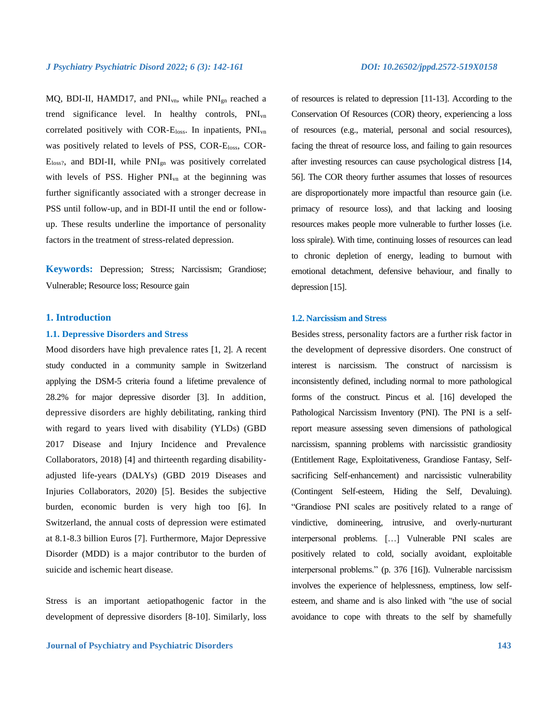MQ, BDI-II, HAMD17, and PNI<sub>vn</sub>, while PNI<sub>gn</sub> reached a trend significance level. In healthy controls, PNIvn correlated positively with COR-Eloss. In inpatients, PNIvn was positively related to levels of PSS, COR-Eloss, COR-Eloss?, and BDI-II, while PNIgn was positively correlated with levels of PSS. Higher PNI<sub>vn</sub> at the beginning was further significantly associated with a stronger decrease in PSS until follow-up, and in BDI-II until the end or followup. These results underline the importance of personality factors in the treatment of stress-related depression.

**Keywords:** Depression; Stress; Narcissism; Grandiose; Vulnerable; Resource loss; Resource gain

## **1. Introduction**

## **1.1. Depressive Disorders and Stress**

Mood disorders have high prevalence rates [1, 2]. A recent study conducted in a community sample in Switzerland applying the DSM-5 criteria found a lifetime prevalence of 28.2% for major depressive disorder [3]. In addition, depressive disorders are highly debilitating, ranking third with regard to years lived with disability (YLDs) (GBD 2017 Disease and Injury Incidence and Prevalence Collaborators, 2018) [4] and thirteenth regarding disabilityadjusted life-years (DALYs) (GBD 2019 Diseases and Injuries Collaborators, 2020) [5]. Besides the subjective burden, economic burden is very high too [6]. In Switzerland, the annual costs of depression were estimated at 8.1-8.3 billion Euros [7]. Furthermore, Major Depressive Disorder (MDD) is a major contributor to the burden of suicide and ischemic heart disease.

Stress is an important aetiopathogenic factor in the development of depressive disorders [8-10]. Similarly, loss

of resources is related to depression [11-13]. According to the Conservation Of Resources (COR) theory, experiencing a loss of resources (e.g., material, personal and social resources), facing the threat of resource loss, and failing to gain resources after investing resources can cause psychological distress [14, 56]. The COR theory further assumes that losses of resources are disproportionately more impactful than resource gain (i.e. primacy of resource loss), and that lacking and loosing resources makes people more vulnerable to further losses (i.e. loss spirale). With time, continuing losses of resources can lead to chronic depletion of energy, leading to burnout with emotional detachment, defensive behaviour, and finally to depression [15].

## **1.2. Narcissism and Stress**

Besides stress, personality factors are a further risk factor in the development of depressive disorders. One construct of interest is narcissism. The construct of narcissism is inconsistently defined, including normal to more pathological forms of the construct. Pincus et al. [16] developed the Pathological Narcissism Inventory (PNI). The PNI is a selfreport measure assessing seven dimensions of pathological narcissism, spanning problems with narcissistic grandiosity (Entitlement Rage, Exploitativeness, Grandiose Fantasy, Selfsacrificing Self-enhancement) and narcissistic vulnerability (Contingent Self-esteem, Hiding the Self, Devaluing). "Grandiose PNI scales are positively related to a range of vindictive, domineering, intrusive, and overly-nurturant interpersonal problems. […] Vulnerable PNI scales are positively related to cold, socially avoidant, exploitable interpersonal problems." (p. 376 [16]). Vulnerable narcissism involves the experience of helplessness, emptiness, low selfesteem, and shame and is also linked with "the use of social avoidance to cope with threats to the self by shamefully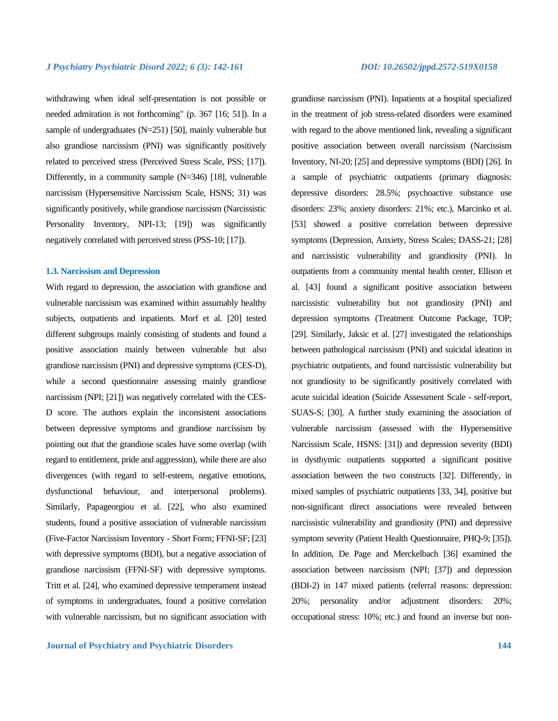withdrawing when ideal self-presentation is not possible or needed admiration is not forthcoming" (p. 367 [16; 51]). In a sample of undergraduates (N=251) [50], mainly vulnerable but also grandiose narcissism (PNI) was significantly positively related to perceived stress (Perceived Stress Scale, PSS; [17]). Differently, in a community sample (N=346) [18], vulnerable narcissism (Hypersensitive Narcissism Scale, HSNS; 31) was significantly positively, while grandiose narcissism (Narcissistic Personality Inventory, NPI-13; [19]) was significantly negatively correlated with perceived stress (PSS-10; [17]).

## **1.3. Narcissism and Depression**

With regard to depression, the association with grandiose and vulnerable narcissism was examined within assumably healthy subjects, outpatients and inpatients. Morf et al. [20] tested different subgroups mainly consisting of students and found a positive association mainly between vulnerable but also grandiose narcissism (PNI) and depressive symptoms (CES-D), while a second questionnaire assessing mainly grandiose narcissism (NPI; [21]) was negatively correlated with the CES-D score. The authors explain the inconsistent associations between depressive symptoms and grandiose narcissism by pointing out that the grandiose scales have some overlap (with regard to entitlement, pride and aggression), while there are also divergences (with regard to self-esteem, negative emotions, dysfunctional behaviour, and interpersonal problems). Similarly, Papageorgiou et al. [22], who also examined students, found a positive association of vulnerable narcissism (Five-Factor Narcissism Inventory - Short Form; FFNI-SF; [23] with depressive symptoms (BDI), but a negative association of grandiose narcissism (FFNI-SF) with depressive symptoms. Tritt et al. [24], who examined depressive temperament instead of symptoms in undergraduates, found a positive correlation with vulnerable narcissism, but no significant association with

grandiose narcissism (PNI). Inpatients at a hospital specialized in the treatment of job stress-related disorders were examined with regard to the above mentioned link, revealing a significant positive association between overall narcissism (Narcissism Inventory, NI-20; [25] and depressive symptoms (BDI) [26]. In a sample of psychiatric outpatients (primary diagnosis: depressive disorders: 28.5%; psychoactive substance use disorders: 23%; anxiety disorders: 21%; etc.), Marcinko et al. [53] showed a positive correlation between depressive symptoms (Depression, Anxiety, Stress Scales; DASS-21; [28] and narcissistic vulnerability and grandiosity (PNI). In outpatients from a community mental health center, Ellison et al. [43] found a significant positive association between narcissistic vulnerability but not grandiosity (PNI) and depression symptoms (Treatment Outcome Package, TOP; [29]. Similarly, Jaksic et al. [27] investigated the relationships between pathological narcissism (PNI) and suicidal ideation in psychiatric outpatients, and found narcissistic vulnerability but not grandiosity to be significantly positively correlated with acute suicidal ideation (Suicide Assessment Scale - self-report, SUAS-S; [30]. A further study examining the association of vulnerable narcissism (assessed with the Hypersensitive Narcissism Scale, HSNS: [31]) and depression severity (BDI) in dysthymic outpatients supported a significant positive association between the two constructs [32]. Differently, in mixed samples of psychiatric outpatients [33, 34], positive but non-significant direct associations were revealed between narcissistic vulnerability and grandiosity (PNI) and depressive symptom severity (Patient Health Questionnaire, PHQ-9; [35]). In addition, De Page and Merckelbach [36] examined the association between narcissism (NPI; [37]) and depression (BDI-2) in 147 mixed patients (referral reasons: depression: 20%; personality and/or adjustment disorders: 20%; occupational stress: 10%; etc.) and found an inverse but non-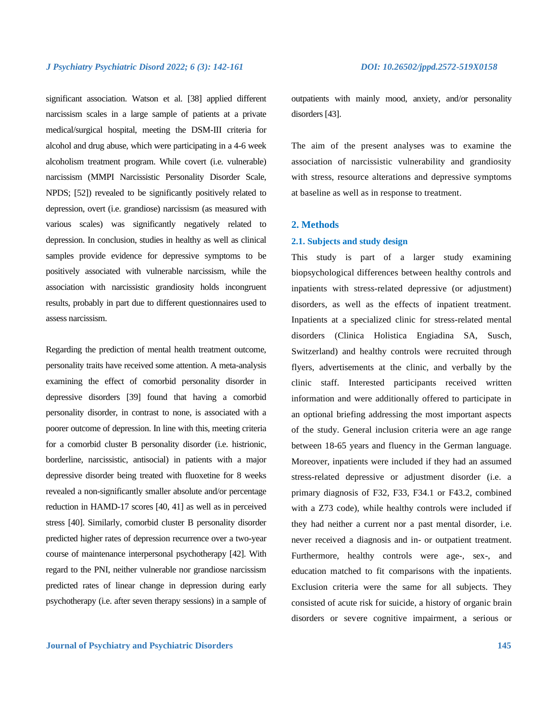significant association. Watson et al. [38] applied different narcissism scales in a large sample of patients at a private medical/surgical hospital, meeting the DSM-III criteria for alcohol and drug abuse, which were participating in a 4-6 week alcoholism treatment program. While covert (i.e. vulnerable) narcissism (MMPI Narcissistic Personality Disorder Scale, NPDS; [52]) revealed to be significantly positively related to depression, overt (i.e. grandiose) narcissism (as measured with various scales) was significantly negatively related to depression. In conclusion, studies in healthy as well as clinical samples provide evidence for depressive symptoms to be positively associated with vulnerable narcissism, while the association with narcissistic grandiosity holds incongruent results, probably in part due to different questionnaires used to assess narcissism.

Regarding the prediction of mental health treatment outcome, personality traits have received some attention. A meta-analysis examining the effect of comorbid personality disorder in depressive disorders [39] found that having a comorbid personality disorder, in contrast to none, is associated with a poorer outcome of depression. In line with this, meeting criteria for a comorbid cluster B personality disorder (i.e. histrionic, borderline, narcissistic, antisocial) in patients with a major depressive disorder being treated with fluoxetine for 8 weeks revealed a non-significantly smaller absolute and/or percentage reduction in HAMD-17 scores [40, 41] as well as in perceived stress [40]. Similarly, comorbid cluster B personality disorder predicted higher rates of depression recurrence over a two-year course of maintenance interpersonal psychotherapy [42]. With regard to the PNI, neither vulnerable nor grandiose narcissism predicted rates of linear change in depression during early psychotherapy (i.e. after seven therapy sessions) in a sample of outpatients with mainly mood, anxiety, and/or personality disorders [43].

The aim of the present analyses was to examine the association of narcissistic vulnerability and grandiosity with stress, resource alterations and depressive symptoms at baseline as well as in response to treatment.

## **2. Methods**

## **2.1. Subjects and study design**

This study is part of a larger study examining biopsychological differences between healthy controls and inpatients with stress-related depressive (or adjustment) disorders, as well as the effects of inpatient treatment. Inpatients at a specialized clinic for stress-related mental disorders (Clinica Holistica Engiadina SA, Susch, Switzerland) and healthy controls were recruited through flyers, advertisements at the clinic, and verbally by the clinic staff. Interested participants received written information and were additionally offered to participate in an optional briefing addressing the most important aspects of the study. General inclusion criteria were an age range between 18-65 years and fluency in the German language. Moreover, inpatients were included if they had an assumed stress-related depressive or adjustment disorder (i.e. a primary diagnosis of F32, F33, F34.1 or F43.2, combined with a Z73 code), while healthy controls were included if they had neither a current nor a past mental disorder, i.e. never received a diagnosis and in- or outpatient treatment. Furthermore, healthy controls were age-, sex-, and education matched to fit comparisons with the inpatients. Exclusion criteria were the same for all subjects. They consisted of acute risk for suicide, a history of organic brain disorders or severe cognitive impairment, a serious or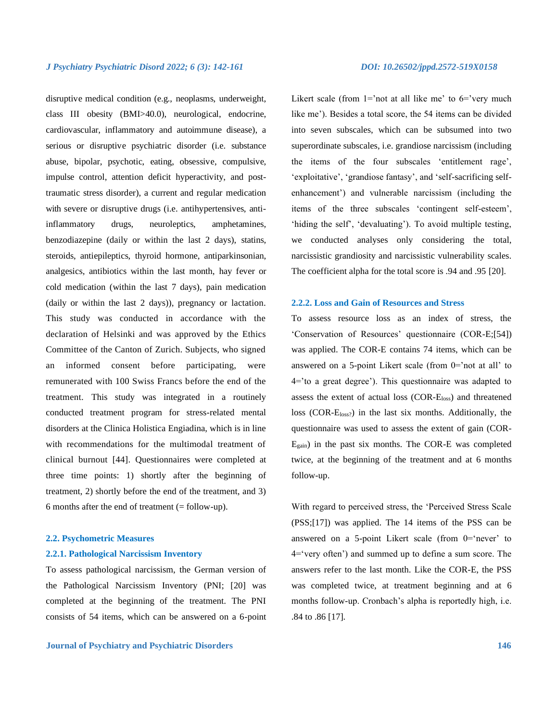disruptive medical condition (e.g., neoplasms, underweight, class III obesity (BMI>40.0), neurological, endocrine, cardiovascular, inflammatory and autoimmune disease), a serious or disruptive psychiatric disorder (i.e. substance abuse, bipolar, psychotic, eating, obsessive, compulsive, impulse control, attention deficit hyperactivity, and posttraumatic stress disorder), a current and regular medication with severe or disruptive drugs (i.e. antihypertensives, antiinflammatory drugs, neuroleptics, amphetamines, benzodiazepine (daily or within the last 2 days), statins, steroids, antiepileptics, thyroid hormone, antiparkinsonian, analgesics, antibiotics within the last month, hay fever or cold medication (within the last 7 days), pain medication (daily or within the last 2 days)), pregnancy or lactation. This study was conducted in accordance with the declaration of Helsinki and was approved by the Ethics Committee of the Canton of Zurich. Subjects, who signed an informed consent before participating, were remunerated with 100 Swiss Francs before the end of the treatment. This study was integrated in a routinely conducted treatment program for stress-related mental disorders at the Clinica Holistica Engiadina, which is in line with recommendations for the multimodal treatment of clinical burnout [44]. Questionnaires were completed at three time points: 1) shortly after the beginning of treatment, 2) shortly before the end of the treatment, and 3) 6 months after the end of treatment (= follow-up).

### **2.2. Psychometric Measures**

## **2.2.1. Pathological Narcissism Inventory**

To assess pathological narcissism, the German version of the Pathological Narcissism Inventory (PNI; [20] was completed at the beginning of the treatment. The PNI consists of 54 items, which can be answered on a 6-point

Likert scale (from  $1=$ 'not at all like me' to  $6=$ 'very much like me'). Besides a total score, the 54 items can be divided into seven subscales, which can be subsumed into two superordinate subscales, i.e. grandiose narcissism (including the items of the four subscales 'entitlement rage', 'exploitative', 'grandiose fantasy', and 'self-sacrificing selfenhancement') and vulnerable narcissism (including the items of the three subscales 'contingent self-esteem', 'hiding the self', 'devaluating'). To avoid multiple testing, we conducted analyses only considering the total, narcissistic grandiosity and narcissistic vulnerability scales. The coefficient alpha for the total score is .94 and .95 [20].

## **2.2.2. Loss and Gain of Resources and Stress**

To assess resource loss as an index of stress, the 'Conservation of Resources' questionnaire (COR-E;[54]) was applied. The COR-E contains 74 items, which can be answered on a 5-point Likert scale (from 0='not at all' to 4='to a great degree'). This questionnaire was adapted to assess the extent of actual loss (COR-Eloss) and threatened loss (COR-E<sub>loss?</sub>) in the last six months. Additionally, the questionnaire was used to assess the extent of gain (COR-Egain) in the past six months. The COR-E was completed twice, at the beginning of the treatment and at 6 months follow-up.

With regard to perceived stress, the 'Perceived Stress Scale (PSS;[17]) was applied. The 14 items of the PSS can be answered on a 5-point Likert scale (from  $0$ ='never' to 4='very often') and summed up to define a sum score. The answers refer to the last month. Like the COR-E, the PSS was completed twice, at treatment beginning and at 6 months follow-up. Cronbach's alpha is reportedly high, i.e. .84 to .86 [17].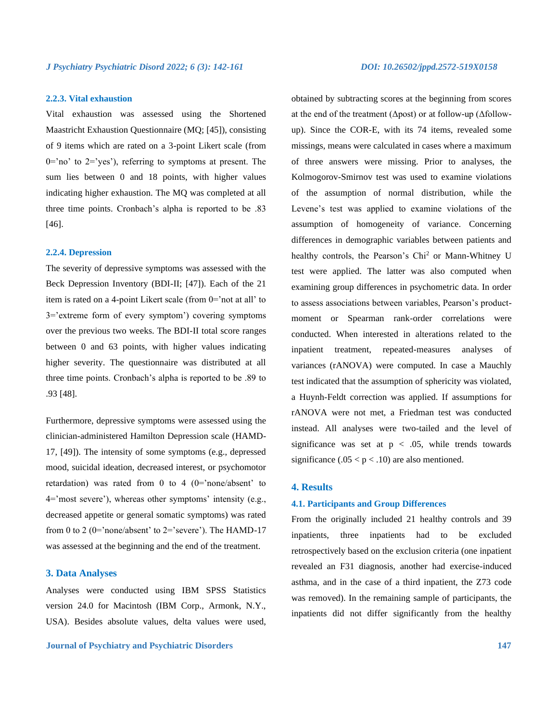## **2.2.3. Vital exhaustion**

Vital exhaustion was assessed using the Shortened Maastricht Exhaustion Questionnaire (MQ; [45]), consisting of 9 items which are rated on a 3-point Likert scale (from  $0=$ 'no' to  $2=$ 'yes'), referring to symptoms at present. The sum lies between 0 and 18 points, with higher values indicating higher exhaustion. The MQ was completed at all three time points. Cronbach's alpha is reported to be .83 [46].

## **2.2.4. Depression**

The severity of depressive symptoms was assessed with the Beck Depression Inventory (BDI-II; [47]). Each of the 21 item is rated on a 4-point Likert scale (from 0='not at all' to 3='extreme form of every symptom') covering symptoms over the previous two weeks. The BDI-II total score ranges between 0 and 63 points, with higher values indicating higher severity. The questionnaire was distributed at all three time points. Cronbach's alpha is reported to be .89 to .93 [48].

Furthermore, depressive symptoms were assessed using the clinician-administered Hamilton Depression scale (HAMD-17, [49]). The intensity of some symptoms (e.g., depressed mood, suicidal ideation, decreased interest, or psychomotor retardation) was rated from 0 to 4  $(0=$ 'none/absent' to 4='most severe'), whereas other symptoms' intensity (e.g., decreased appetite or general somatic symptoms) was rated from 0 to 2 (0='none/absent' to  $2$ ='severe'). The HAMD-17 was assessed at the beginning and the end of the treatment.

## **3. Data Analyses**

Analyses were conducted using IBM SPSS Statistics version 24.0 for Macintosh (IBM Corp., Armonk, N.Y., USA). Besides absolute values, delta values were used,

obtained by subtracting scores at the beginning from scores at the end of the treatment (Δpost) or at follow-up (Δfollowup). Since the COR-E, with its 74 items, revealed some missings, means were calculated in cases where a maximum of three answers were missing. Prior to analyses, the Kolmogorov-Smirnov test was used to examine violations of the assumption of normal distribution, while the Levene's test was applied to examine violations of the assumption of homogeneity of variance. Concerning differences in demographic variables between patients and healthy controls, the Pearson's Chi<sup>2</sup> or Mann-Whitney U test were applied. The latter was also computed when examining group differences in psychometric data. In order to assess associations between variables, Pearson's productmoment or Spearman rank-order correlations were conducted. When interested in alterations related to the inpatient treatment, repeated-measures analyses of variances (rANOVA) were computed. In case a Mauchly test indicated that the assumption of sphericity was violated, a Huynh-Feldt correction was applied. If assumptions for rANOVA were not met, a Friedman test was conducted instead. All analyses were two-tailed and the level of significance was set at  $p < .05$ , while trends towards significance  $(.05 < p < .10)$  are also mentioned.

## **4. Results**

### **4.1. Participants and Group Differences**

From the originally included 21 healthy controls and 39 inpatients, three inpatients had to be excluded retrospectively based on the exclusion criteria (one inpatient revealed an F31 diagnosis, another had exercise-induced asthma, and in the case of a third inpatient, the Z73 code was removed). In the remaining sample of participants, the inpatients did not differ significantly from the healthy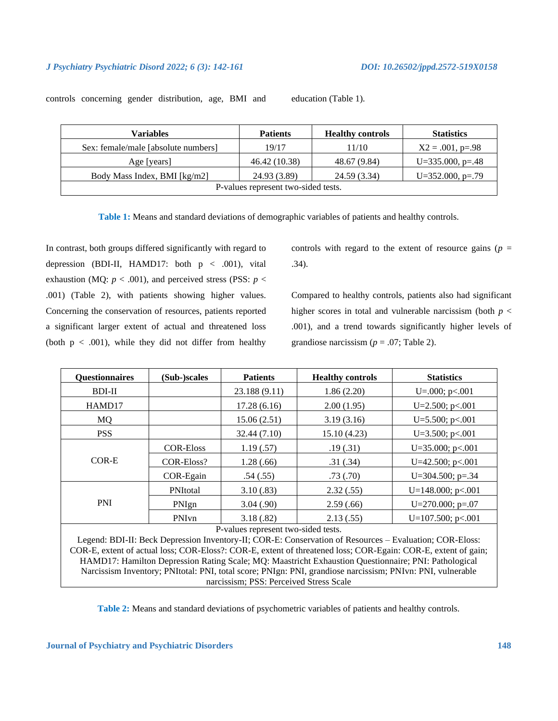controls concerning gender distribution, age, BMI and education (Table 1).

| Variables                           | <b>Patients</b> | <b>Healthy controls</b> | <b>Statistics</b>     |  |  |  |
|-------------------------------------|-----------------|-------------------------|-----------------------|--|--|--|
| Sex: female/male [absolute numbers] | 19/17           | 11/10                   | $X2 = .001$ , p=.98   |  |  |  |
| Age [years]                         | 46.42 (10.38)   | 48.67 (9.84)            | $U = 335.000$ , p=.48 |  |  |  |
| Body Mass Index, BMI [kg/m2]        | 24.93 (3.89)    | 24.59 (3.34)            | $U = 352.000$ , p=.79 |  |  |  |
| P-values represent two-sided tests. |                 |                         |                       |  |  |  |

**Table 1:** Means and standard deviations of demographic variables of patients and healthy controls.

In contrast, both groups differed significantly with regard to depression (BDI-II, HAMD17: both  $p < .001$ ), vital exhaustion (MQ:  $p < .001$ ), and perceived stress (PSS:  $p <$ .001) (Table 2), with patients showing higher values. Concerning the conservation of resources, patients reported a significant larger extent of actual and threatened loss (both  $p < .001$ ), while they did not differ from healthy controls with regard to the extent of resource gains ( $p =$ .34).

Compared to healthy controls, patients also had significant higher scores in total and vulnerable narcissism (both  $p <$ .001), and a trend towards significantly higher levels of grandiose narcissism ( $p = .07$ ; Table 2).

| <b>Questionnaires</b>                                                                                   | (Sub-)scales     | <b>Patients</b><br><b>Healthy controls</b> |             | <b>Statistics</b>       |  |  |  |
|---------------------------------------------------------------------------------------------------------|------------------|--------------------------------------------|-------------|-------------------------|--|--|--|
| <b>BDI-II</b>                                                                                           |                  | 23.188 (9.11)                              | 1.86(2.20)  | U= $.000$ ; p< $.001$   |  |  |  |
| HAMD17                                                                                                  |                  | 17.28(6.16)                                | 2.00(1.95)  | U= $2.500$ ; p<.001     |  |  |  |
| MQ                                                                                                      |                  | 15.06(2.51)                                | 3.19(3.16)  | U=5.500; $p<0.01$       |  |  |  |
| <b>PSS</b>                                                                                              |                  | 32.44 (7.10)                               | 15.10(4.23) | $U=3.500; p<.001$       |  |  |  |
| COR-E                                                                                                   | <b>COR-Eloss</b> | 1.19(.57)                                  | .19(.31)    | $U=35.000; p<.001$      |  |  |  |
|                                                                                                         | COR-Eloss?       | 1.28(.66)                                  | .31(.34)    | U= $42.500$ ; p<.001    |  |  |  |
|                                                                                                         | COR-Egain        | .54(.55)                                   | .73(.70)    | U=304.500; $p=.34$      |  |  |  |
| <b>PNI</b>                                                                                              | PNItotal         | 3.10(.83)                                  | 2.32(.55)   | U=148.000; $p<.001$     |  |  |  |
|                                                                                                         | PNIgn            | 3.04(.90)                                  | 2.59(.66)   | U= $270.000$ ; p= $.07$ |  |  |  |
|                                                                                                         | PNIvn            | 3.18(.82)                                  | 2.13(.55)   | U=107.500; $p<0.001$    |  |  |  |
| P-values represent two-sided tests.                                                                     |                  |                                            |             |                         |  |  |  |
| Legend: BDI-II: Beck Depression Inventory-II; COR-E: Conservation of Resources - Evaluation; COR-Eloss: |                  |                                            |             |                         |  |  |  |

COR-E, extent of actual loss; COR-Eloss?: COR-E, extent of threatened loss; COR-Egain: COR-E, extent of gain; HAMD17: Hamilton Depression Rating Scale; MQ: Maastricht Exhaustion Questionnaire; PNI: Pathological Narcissism Inventory; PNItotal: PNI, total score; PNIgn: PNI, grandiose narcissism; PNIvn: PNI, vulnerable narcissism; PSS: Perceived Stress Scale

**Table 2:** Means and standard deviations of psychometric variables of patients and healthy controls.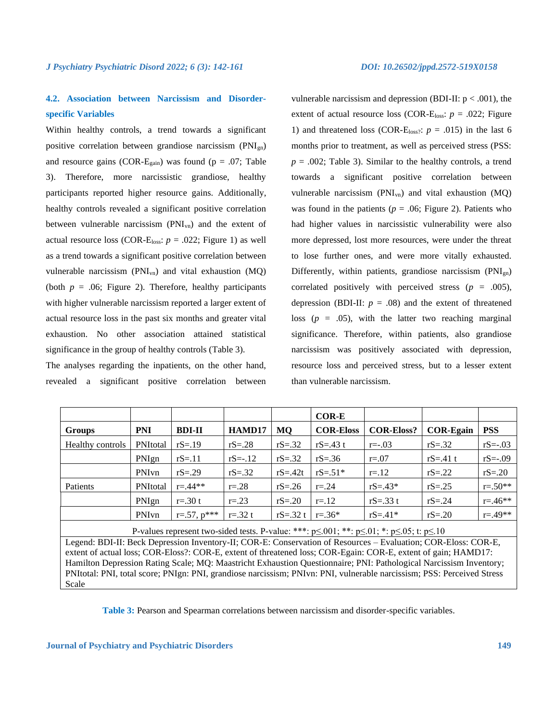## **4.2. Association between Narcissism and Disorderspecific Variables**

Within healthy controls, a trend towards a significant positive correlation between grandiose narcissism (PNIgn) and resource gains (COR-E<sub>gain</sub>) was found ( $p = .07$ ; Table 3). Therefore, more narcissistic grandiose, healthy participants reported higher resource gains. Additionally, healthy controls revealed a significant positive correlation between vulnerable narcissism (PNIvn) and the extent of actual resource loss (COR-E<sub>loss</sub>:  $p = .022$ ; Figure 1) as well as a trend towards a significant positive correlation between vulnerable narcissism  $(PNI_{vn})$  and vital exhaustion  $(MQ)$ (both  $p = .06$ ; Figure 2). Therefore, healthy participants with higher vulnerable narcissism reported a larger extent of actual resource loss in the past six months and greater vital exhaustion. No other association attained statistical significance in the group of healthy controls (Table 3).

The analyses regarding the inpatients, on the other hand, revealed a significant positive correlation between

vulnerable narcissism and depression (BDI-II:  $p < .001$ ), the extent of actual resource loss (COR-E<sub>loss</sub>:  $p = .022$ ; Figure 1) and threatened loss (COR-E $_{loss}$ :  $p = .015$ ) in the last 6 months prior to treatment, as well as perceived stress (PSS:  $p = .002$ ; Table 3). Similar to the healthy controls, a trend towards a significant positive correlation between vulnerable narcissism  $(PNI_{vn})$  and vital exhaustion  $(MQ)$ was found in the patients ( $p = .06$ ; Figure 2). Patients who had higher values in narcissistic vulnerability were also more depressed, lost more resources, were under the threat to lose further ones, and were more vitally exhausted. Differently, within patients, grandiose narcissism  $(PNI_{gn})$ correlated positively with perceived stress  $(p = .005)$ , depression (BDI-II:  $p = .08$ ) and the extent of threatened loss  $(p = .05)$ , with the latter two reaching marginal significance. Therefore, within patients, also grandiose narcissism was positively associated with depression, resource loss and perceived stress, but to a lesser extent than vulnerable narcissism.

|                                                                                                                     |            |                    |             |                           | <b>COR-E</b>     |                   |                  |              |
|---------------------------------------------------------------------------------------------------------------------|------------|--------------------|-------------|---------------------------|------------------|-------------------|------------------|--------------|
| <b>Groups</b>                                                                                                       | <b>PNI</b> | <b>BDI-II</b>      | HAMD17      | <b>MO</b>                 | <b>COR-Eloss</b> | <b>COR-Eloss?</b> | <b>COR-Egain</b> | <b>PSS</b>   |
| Healthy controls                                                                                                    | PNItotal   | $rS = .19$         | $rS = 0.28$ | $rS = .32$                | rS=.43 $t$       | $r = -0.03$       | $rS = .32$       | $rS = -03$   |
|                                                                                                                     | PNIgn      | $rS = .11$         | $rS = -12$  | $rS = .32$                | $rS = .36$       | $r=.07$           | rS=.41 $t$       | $rS = -0.09$ |
|                                                                                                                     | PNIvn      | $rS = .29$         | $rS = .32$  | $rS = -42t$               | $rS = .51*$      | $r = 12$          | $rS = .22$       | $rS = .20$   |
| Patients                                                                                                            | PNItotal   | $r = 44**$         | $r=.28$     | $rS = 0.26$               | $r = 0.24$       | $rS = .43*$       | $rS = .25$       | $r = .50**$  |
|                                                                                                                     | PNIgn      | $r = 0.30 t$       | $r = 0.23$  | $rS = 0.20$               | $r = 12$         | $rS = .33 t$      | $rS = .24$       | $r = .46**$  |
|                                                                                                                     | PNIvn      | $r = .57, p^{***}$ | $r = 32 t$  | $rS = .32 t$   $r = .36*$ |                  | $rS = .41*$       | $rS = .20$       | $r = .49**$  |
| P-values represent two-sided tests. P-value: ***: $p \le 0.01$ ; **: $p \le 0.01$ ; *: $p \le 0.05$ ; t: $p \le 10$ |            |                    |             |                           |                  |                   |                  |              |

Legend: BDI-II: Beck Depression Inventory-II; COR-E: Conservation of Resources – Evaluation; COR-Eloss: COR-E, extent of actual loss; COR-Eloss?: COR-E, extent of threatened loss; COR-Egain: COR-E, extent of gain; HAMD17: Hamilton Depression Rating Scale; MQ: Maastricht Exhaustion Questionnaire; PNI: Pathological Narcissism Inventory; PNItotal: PNI, total score; PNIgn: PNI, grandiose narcissism; PNIvn: PNI, vulnerable narcissism; PSS: Perceived Stress Scale

**Table 3:** Pearson and Spearman correlations between narcissism and disorder-specific variables.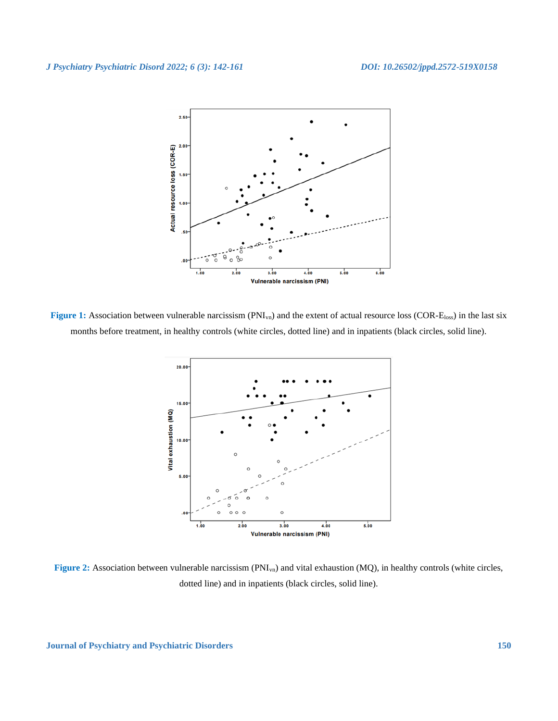

Figure 1: Association between vulnerable narcissism (PNI<sub>vn</sub>) and the extent of actual resource loss (COR-E<sub>loss</sub>) in the last six months before treatment, in healthy controls (white circles, dotted line) and in inpatients (black circles, solid line).



Figure 2: Association between vulnerable narcissism (PNI<sub>vn</sub>) and vital exhaustion (MQ), in healthy controls (white circles, dotted line) and in inpatients (black circles, solid line).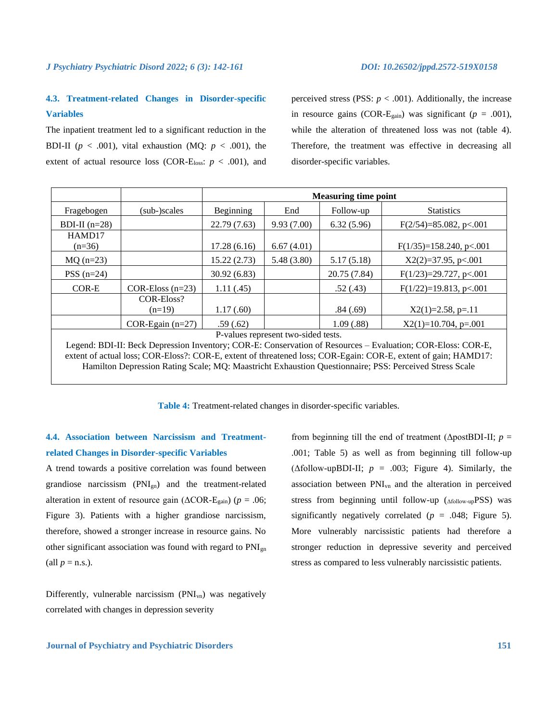## **4.3. Treatment-related Changes in Disorder-specific Variables**

The inpatient treatment led to a significant reduction in the BDI-II ( $p < .001$ ), vital exhaustion (MQ:  $p < .001$ ), the extent of actual resource loss (COR-E<sub>loss</sub>:  $p < .001$ ), and perceived stress (PSS:  $p < .001$ ). Additionally, the increase in resource gains (COR-E<sub>gain</sub>) was significant ( $p = .001$ ), while the alteration of threatened loss was not (table 4). Therefore, the treatment was effective in decreasing all disorder-specific variables.

|                                                                                                                                                                                                                                                                      |                                                                          | <b>Measuring time point</b> |             |              |                           |  |  |  |
|----------------------------------------------------------------------------------------------------------------------------------------------------------------------------------------------------------------------------------------------------------------------|--------------------------------------------------------------------------|-----------------------------|-------------|--------------|---------------------------|--|--|--|
| Fragebogen                                                                                                                                                                                                                                                           | (sub-)scales                                                             | Beginning                   | End         | Follow-up    | <b>Statistics</b>         |  |  |  |
| BDI-II $(n=28)$                                                                                                                                                                                                                                                      |                                                                          | 22.79 (7.63)                | 9.93(7.00)  | 6.32(5.96)   | $F(2/54)=85.082, p<.001$  |  |  |  |
| HAMD17<br>$(n=36)$                                                                                                                                                                                                                                                   |                                                                          | 17.28(6.16)                 | 6.67(4.01)  |              | $F(1/35)=158.240, p<.001$ |  |  |  |
| $MQ (n=23)$                                                                                                                                                                                                                                                          |                                                                          | 15.22(2.73)                 | 5.48 (3.80) | 5.17(5.18)   | $X2(2)=37.95$ , p<.001    |  |  |  |
| $PSS(n=24)$                                                                                                                                                                                                                                                          |                                                                          | 30.92(6.83)                 |             | 20.75 (7.84) | $F(1/23)=29.727, p<.001$  |  |  |  |
| COR-E                                                                                                                                                                                                                                                                | $F(1/22)=19.813, p<.001$<br>1.11(0.45)<br>.52(.43)<br>$COR-Eloss (n=23)$ |                             |             |              |                           |  |  |  |
|                                                                                                                                                                                                                                                                      | COR-Eloss?<br>1.17(.60)<br>.84(.69)<br>$X2(1)=2.58$ , p=.11<br>$(n=19)$  |                             |             |              |                           |  |  |  |
|                                                                                                                                                                                                                                                                      | COR-Egain $(n=27)$                                                       | .59(.62)                    |             | 1.09(.88)    | $X2(1)=10.704$ , p=.001   |  |  |  |
| P-values represent two-sided tests.<br>Legend: BDI-II: Beck Depression Inventory; COR-E: Conservation of Resources – Evaluation; COR-Eloss: COR-E,<br>extent of actual loss; COR-Eloss?: COR-E, extent of threatened loss; COR-Egain: COR-E, extent of gain; HAMD17: |                                                                          |                             |             |              |                           |  |  |  |

Hamilton Depression Rating Scale; MQ: Maastricht Exhaustion Questionnaire; PSS: Perceived Stress Scale

**Table 4:** Treatment-related changes in disorder-specific variables.

## **4.4. Association between Narcissism and Treatmentrelated Changes in Disorder-specific Variables**

A trend towards a positive correlation was found between grandiose narcissism (PNIgn) and the treatment-related alteration in extent of resource gain ( $\triangle COR-E_{gain}$ ) ( $p = .06$ ; Figure 3). Patients with a higher grandiose narcissism, therefore, showed a stronger increase in resource gains. No other significant association was found with regard to  $PNI_{gn}$ (all  $p =$ n.s.).

Differently, vulnerable narcissism  $(PNI_{vn})$  was negatively correlated with changes in depression severity

from beginning till the end of treatment ( $\Delta$ postBDI-II; *p* = .001; Table 5) as well as from beginning till follow-up ( $\triangle$ follow-upBDI-II;  $p = .003$ ; Figure 4). Similarly, the association between PNIvn and the alteration in perceived stress from beginning until follow-up (Δfollow-upPSS) was significantly negatively correlated  $(p = .048;$  Figure 5). More vulnerably narcissistic patients had therefore a stronger reduction in depressive severity and perceived stress as compared to less vulnerably narcissistic patients.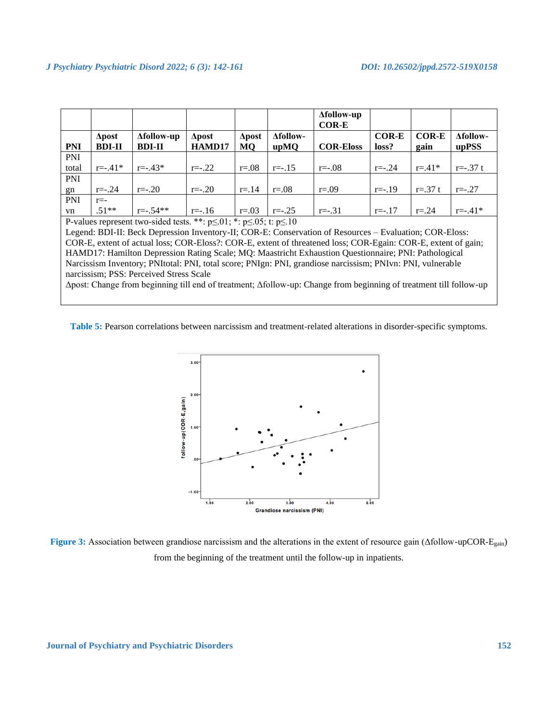|                                                                                      |               |                   |               |               |                 | <b>Afollow-up</b><br><b>COR-E</b> |              |              |                 |
|--------------------------------------------------------------------------------------|---------------|-------------------|---------------|---------------|-----------------|-----------------------------------|--------------|--------------|-----------------|
|                                                                                      | $\Delta$ post | <b>Afollow-up</b> | $\Delta$ post | $\Delta$ post | <b>Afollow-</b> |                                   | <b>COR-E</b> | <b>COR-E</b> | <b>Afollow-</b> |
| <b>PNI</b>                                                                           | <b>BDI-II</b> | <b>BDI-II</b>     | HAMD17        | MQ            | upMQ            | <b>COR-Eloss</b>                  | loss?        | gain         | upPSS           |
| <b>PNI</b>                                                                           |               |                   |               |               |                 |                                   |              |              |                 |
| total                                                                                | $r = -0.41*$  | $r = -0.43*$      | $r = -0.22$   | $r=.08$       | $r = -0.15$     | $r = -0.08$                       | $r = -0.24$  | $r = .41*$   | $r = -0.37 t$   |
| PNI                                                                                  |               |                   |               |               |                 |                                   |              |              |                 |
| gn                                                                                   | $r = -0.24$   | $r = -20$         | $r = -20$     | $r = 14$      | $r = .08$       | $r = .09$                         | $r = -0.19$  | $r = .37 t$  | $r = -27$       |
| <b>PNI</b>                                                                           | $r = -$       |                   |               |               |                 |                                   |              |              |                 |
| vn                                                                                   | $.51**$       | $r = -0.54**$     | $r = -16$     | $r=.03$       | $r = -0.25$     | $r = -31$                         | $r = -17$    | $r = 0.24$   | $r = -0.41*$    |
| P-values represent two-sided tests. **: $p \le 01$ ; *: $p \le 0.05$ ; t: $p \le 10$ |               |                   |               |               |                 |                                   |              |              |                 |

Legend: BDI-II: Beck Depression Inventory-II; COR-E: Conservation of Resources – Evaluation; COR-Eloss: COR-E, extent of actual loss; COR-Eloss?: COR-E, extent of threatened loss; COR-Egain: COR-E, extent of gain; HAMD17: Hamilton Depression Rating Scale; MQ: Maastricht Exhaustion Questionnaire; PNI: Pathological Narcissism Inventory; PNItotal: PNI, total score; PNIgn: PNI, grandiose narcissism; PNIvn: PNI, vulnerable narcissism; PSS: Perceived Stress Scale

Δpost: Change from beginning till end of treatment; Δfollow-up: Change from beginning of treatment till follow-up

**Table 5:** Pearson correlations between narcissism and treatment-related alterations in disorder-specific symptoms.



**Figure 3:** Association between grandiose narcissism and the alterations in the extent of resource gain (Δfollow-upCOR-Egain) from the beginning of the treatment until the follow-up in inpatients.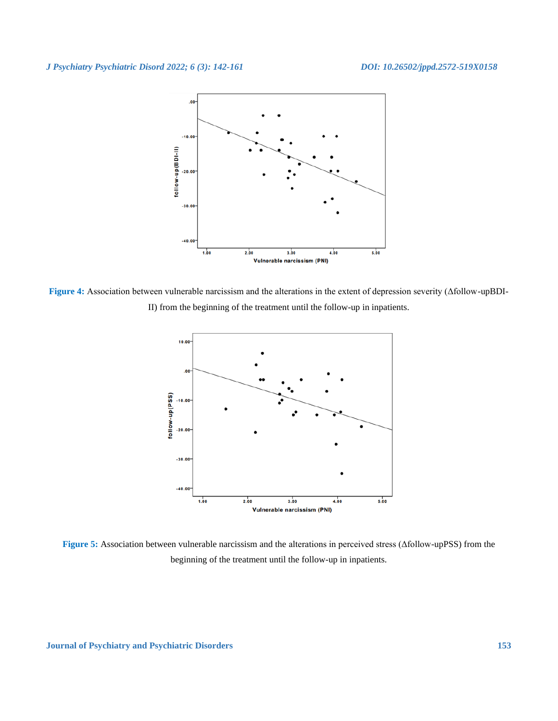

**Figure 4:** Association between vulnerable narcissism and the alterations in the extent of depression severity (Δfollow-upBDI-II) from the beginning of the treatment until the follow-up in inpatients.



**Figure 5:** Association between vulnerable narcissism and the alterations in perceived stress (Δfollow-upPSS) from the beginning of the treatment until the follow-up in inpatients.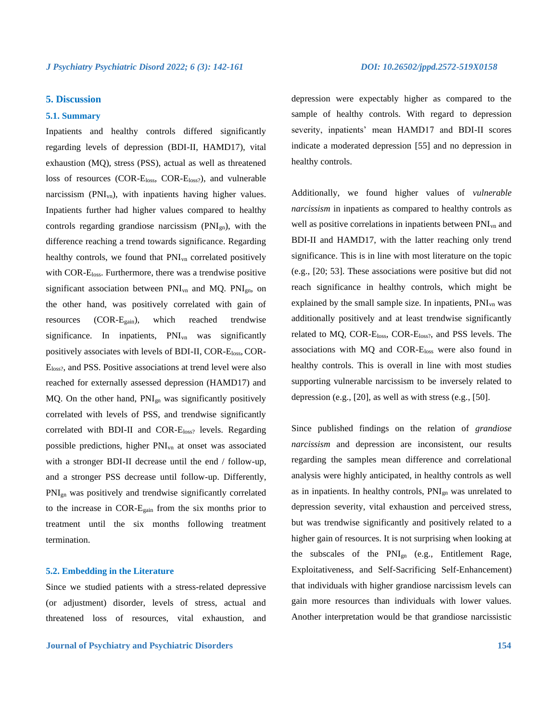## **5. Discussion**

## **5.1. Summary**

Inpatients and healthy controls differed significantly regarding levels of depression (BDI-II, HAMD17), vital exhaustion (MQ), stress (PSS), actual as well as threatened loss of resources (COR-Eloss, COR-Eloss?), and vulnerable narcissism (PNI<sub>vn</sub>), with inpatients having higher values. Inpatients further had higher values compared to healthy controls regarding grandiose narcissism (PNIgn), with the difference reaching a trend towards significance. Regarding healthy controls, we found that  $PNI_{vn}$  correlated positively with COR-E<sub>loss</sub>. Furthermore, there was a trendwise positive significant association between  $PNI_{vn}$  and MQ.  $PNI_{gn}$ , on the other hand, was positively correlated with gain of resources (COR-Egain), which reached trendwise significance. In inpatients, PNI<sub>vn</sub> was significantly positively associates with levels of BDI-II, COR-Eloss, COR-Eloss?, and PSS. Positive associations at trend level were also reached for externally assessed depression (HAMD17) and MQ. On the other hand, PNIgn was significantly positively correlated with levels of PSS, and trendwise significantly correlated with BDI-II and COR-Eloss? levels. Regarding possible predictions, higher PNIvn at onset was associated with a stronger BDI-II decrease until the end / follow-up, and a stronger PSS decrease until follow-up. Differently, PNIgn was positively and trendwise significantly correlated to the increase in COR-Egain from the six months prior to treatment until the six months following treatment termination.

## **5.2. Embedding in the Literature**

Since we studied patients with a stress-related depressive (or adjustment) disorder, levels of stress, actual and threatened loss of resources, vital exhaustion, and depression were expectably higher as compared to the sample of healthy controls. With regard to depression severity, inpatients' mean HAMD17 and BDI-II scores indicate a moderated depression [55] and no depression in healthy controls.

Additionally, we found higher values of *vulnerable narcissism* in inpatients as compared to healthy controls as well as positive correlations in inpatients between  $PNI<sub>vn</sub>$  and BDI-II and HAMD17, with the latter reaching only trend significance. This is in line with most literature on the topic (e.g., [20; 53]. These associations were positive but did not reach significance in healthy controls, which might be explained by the small sample size. In inpatients,  $PNI<sub>yn</sub>$  was additionally positively and at least trendwise significantly related to MQ, COR-Eloss, COR-Eloss?, and PSS levels. The associations with MQ and COR-Eloss were also found in healthy controls. This is overall in line with most studies supporting vulnerable narcissism to be inversely related to depression (e.g., [20], as well as with stress (e.g., [50].

Since published findings on the relation of *grandiose narcissism* and depression are inconsistent, our results regarding the samples mean difference and correlational analysis were highly anticipated, in healthy controls as well as in inpatients. In healthy controls, PNIgn was unrelated to depression severity, vital exhaustion and perceived stress, but was trendwise significantly and positively related to a higher gain of resources. It is not surprising when looking at the subscales of the PNIgn (e.g., Entitlement Rage, Exploitativeness, and Self-Sacrificing Self-Enhancement) that individuals with higher grandiose narcissism levels can gain more resources than individuals with lower values. Another interpretation would be that grandiose narcissistic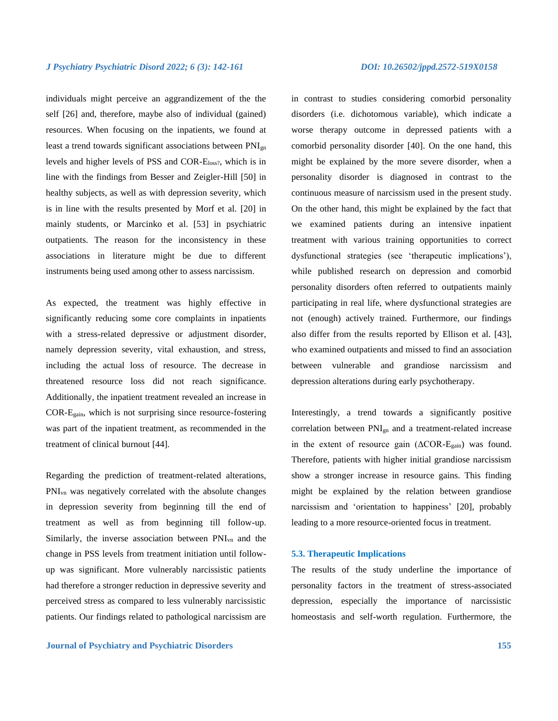individuals might perceive an aggrandizement of the the self [26] and, therefore, maybe also of individual (gained) resources. When focusing on the inpatients, we found at least a trend towards significant associations between PNIgn levels and higher levels of PSS and COR-Eloss?, which is in line with the findings from Besser and Zeigler-Hill [50] in healthy subjects, as well as with depression severity, which is in line with the results presented by Morf et al. [20] in mainly students, or Marcinko et al. [53] in psychiatric outpatients. The reason for the inconsistency in these associations in literature might be due to different instruments being used among other to assess narcissism.

As expected, the treatment was highly effective in significantly reducing some core complaints in inpatients with a stress-related depressive or adjustment disorder, namely depression severity, vital exhaustion, and stress, including the actual loss of resource. The decrease in threatened resource loss did not reach significance. Additionally, the inpatient treatment revealed an increase in COR-Egain, which is not surprising since resource-fostering was part of the inpatient treatment, as recommended in the treatment of clinical burnout [44].

Regarding the prediction of treatment-related alterations, PNIvn was negatively correlated with the absolute changes in depression severity from beginning till the end of treatment as well as from beginning till follow-up. Similarly, the inverse association between PNIvn and the change in PSS levels from treatment initiation until followup was significant. More vulnerably narcissistic patients had therefore a stronger reduction in depressive severity and perceived stress as compared to less vulnerably narcissistic patients. Our findings related to pathological narcissism are

## **Journal of Psychiatry and Psychiatric Disorders 155**

in contrast to studies considering comorbid personality disorders (i.e. dichotomous variable), which indicate a worse therapy outcome in depressed patients with a comorbid personality disorder [40]. On the one hand, this might be explained by the more severe disorder, when a personality disorder is diagnosed in contrast to the continuous measure of narcissism used in the present study. On the other hand, this might be explained by the fact that we examined patients during an intensive inpatient treatment with various training opportunities to correct dysfunctional strategies (see 'therapeutic implications'), while published research on depression and comorbid personality disorders often referred to outpatients mainly participating in real life, where dysfunctional strategies are not (enough) actively trained. Furthermore, our findings also differ from the results reported by Ellison et al. [43], who examined outpatients and missed to find an association between vulnerable and grandiose narcissism and depression alterations during early psychotherapy.

Interestingly, a trend towards a significantly positive correlation between PNIgn and a treatment-related increase in the extent of resource gain  $(ACOR-E<sub>gain</sub>)$  was found. Therefore, patients with higher initial grandiose narcissism show a stronger increase in resource gains. This finding might be explained by the relation between grandiose narcissism and 'orientation to happiness' [20], probably leading to a more resource-oriented focus in treatment.

## **5.3. Therapeutic Implications**

The results of the study underline the importance of personality factors in the treatment of stress-associated depression, especially the importance of narcissistic homeostasis and self-worth regulation. Furthermore, the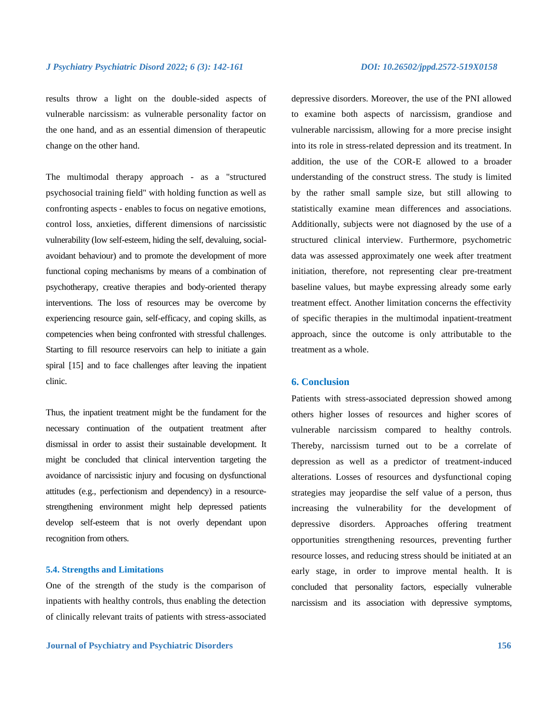results throw a light on the double-sided aspects of vulnerable narcissism: as vulnerable personality factor on the one hand, and as an essential dimension of therapeutic change on the other hand.

The multimodal therapy approach - as a "structured psychosocial training field" with holding function as well as confronting aspects - enables to focus on negative emotions, control loss, anxieties, different dimensions of narcissistic vulnerability (low self-esteem, hiding the self, devaluing, socialavoidant behaviour) and to promote the development of more functional coping mechanisms by means of a combination of psychotherapy, creative therapies and body-oriented therapy interventions. The loss of resources may be overcome by experiencing resource gain, self-efficacy, and coping skills, as competencies when being confronted with stressful challenges. Starting to fill resource reservoirs can help to initiate a gain spiral [15] and to face challenges after leaving the inpatient clinic.

Thus, the inpatient treatment might be the fundament for the necessary continuation of the outpatient treatment after dismissal in order to assist their sustainable development. It might be concluded that clinical intervention targeting the avoidance of narcissistic injury and focusing on dysfunctional attitudes (e.g., perfectionism and dependency) in a resourcestrengthening environment might help depressed patients develop self-esteem that is not overly dependant upon recognition from others.

## **5.4. Strengths and Limitations**

One of the strength of the study is the comparison of inpatients with healthy controls, thus enabling the detection of clinically relevant traits of patients with stress-associated

depressive disorders. Moreover, the use of the PNI allowed to examine both aspects of narcissism, grandiose and vulnerable narcissism, allowing for a more precise insight into its role in stress-related depression and its treatment. In addition, the use of the COR-E allowed to a broader understanding of the construct stress. The study is limited by the rather small sample size, but still allowing to statistically examine mean differences and associations. Additionally, subjects were not diagnosed by the use of a structured clinical interview. Furthermore, psychometric data was assessed approximately one week after treatment initiation, therefore, not representing clear pre-treatment baseline values, but maybe expressing already some early treatment effect. Another limitation concerns the effectivity of specific therapies in the multimodal inpatient-treatment approach, since the outcome is only attributable to the treatment as a whole.

## **6. Conclusion**

Patients with stress-associated depression showed among others higher losses of resources and higher scores of vulnerable narcissism compared to healthy controls. Thereby, narcissism turned out to be a correlate of depression as well as a predictor of treatment-induced alterations. Losses of resources and dysfunctional coping strategies may jeopardise the self value of a person, thus increasing the vulnerability for the development of depressive disorders. Approaches offering treatment opportunities strengthening resources, preventing further resource losses, and reducing stress should be initiated at an early stage, in order to improve mental health. It is concluded that personality factors, especially vulnerable narcissism and its association with depressive symptoms,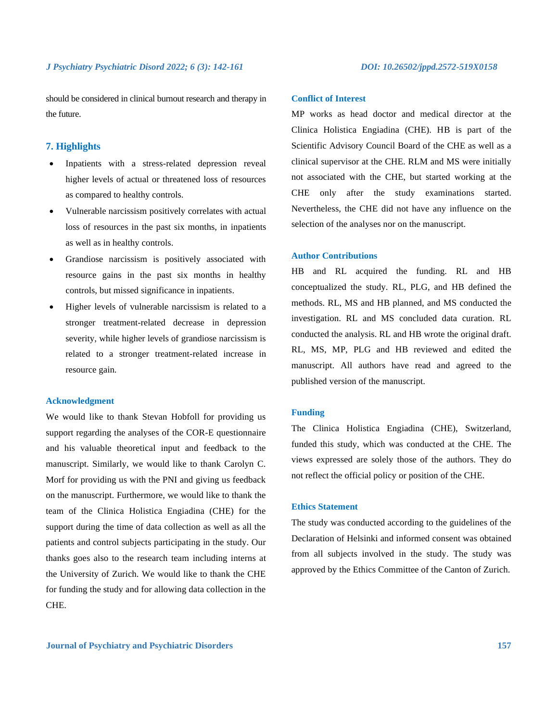should be considered in clinical burnout research and therapy in the future.

## **7. Highlights**

- Inpatients with a stress-related depression reveal higher levels of actual or threatened loss of resources as compared to healthy controls.
- Vulnerable narcissism positively correlates with actual loss of resources in the past six months, in inpatients as well as in healthy controls.
- Grandiose narcissism is positively associated with resource gains in the past six months in healthy controls, but missed significance in inpatients.
- Higher levels of vulnerable narcissism is related to a stronger treatment-related decrease in depression severity, while higher levels of grandiose narcissism is related to a stronger treatment-related increase in resource gain.

## **Acknowledgment**

We would like to thank Stevan Hobfoll for providing us support regarding the analyses of the COR-E questionnaire and his valuable theoretical input and feedback to the manuscript. Similarly, we would like to thank Carolyn C. Morf for providing us with the PNI and giving us feedback on the manuscript. Furthermore, we would like to thank the team of the Clinica Holistica Engiadina (CHE) for the support during the time of data collection as well as all the patients and control subjects participating in the study. Our thanks goes also to the research team including interns at the University of Zurich. We would like to thank the CHE for funding the study and for allowing data collection in the CHE.

## **Conflict of Interest**

MP works as head doctor and medical director at the Clinica Holistica Engiadina (CHE). HB is part of the Scientific Advisory Council Board of the CHE as well as a clinical supervisor at the CHE. RLM and MS were initially not associated with the CHE, but started working at the CHE only after the study examinations started. Nevertheless, the CHE did not have any influence on the selection of the analyses nor on the manuscript.

## **Author Contributions**

HB and RL acquired the funding. RL and HB conceptualized the study. RL, PLG, and HB defined the methods. RL, MS and HB planned, and MS conducted the investigation. RL and MS concluded data curation. RL conducted the analysis. RL and HB wrote the original draft. RL, MS, MP, PLG and HB reviewed and edited the manuscript. All authors have read and agreed to the published version of the manuscript.

## **Funding**

The Clinica Holistica Engiadina (CHE), Switzerland, funded this study, which was conducted at the CHE. The views expressed are solely those of the authors. They do not reflect the official policy or position of the CHE.

## **Ethics Statement**

The study was conducted according to the guidelines of the Declaration of Helsinki and informed consent was obtained from all subjects involved in the study. The study was approved by the Ethics Committee of the Canton of Zurich.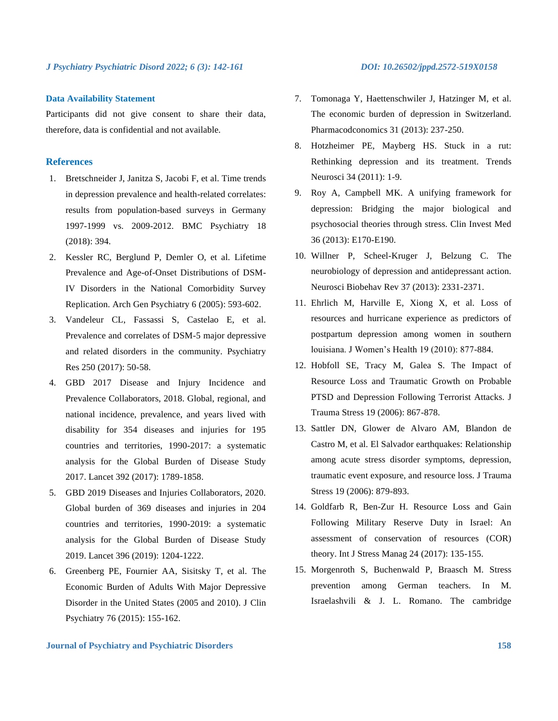## **Data Availability Statement**

Participants did not give consent to share their data, therefore, data is confidential and not available.

## **References**

- 1. Bretschneider J, Janitza S, Jacobi F, et al. Time trends in depression prevalence and health-related correlates: results from population-based surveys in Germany 1997-1999 vs. 2009-2012. BMC Psychiatry 18 (2018): 394.
- 2. Kessler RC, Berglund P, Demler O, et al. Lifetime Prevalence and Age-of-Onset Distributions of DSM-IV Disorders in the National Comorbidity Survey Replication. Arch Gen Psychiatry 6 (2005): 593-602.
- 3. Vandeleur CL, Fassassi S, Castelao E, et al. Prevalence and correlates of DSM-5 major depressive and related disorders in the community. Psychiatry Res 250 (2017): 50-58.
- 4. GBD 2017 Disease and Injury Incidence and Prevalence Collaborators, 2018. Global, regional, and national incidence, prevalence, and years lived with disability for 354 diseases and injuries for 195 countries and territories, 1990-2017: a systematic analysis for the Global Burden of Disease Study 2017. Lancet 392 (2017): 1789-1858.
- 5. GBD 2019 Diseases and Injuries Collaborators, 2020. Global burden of 369 diseases and injuries in 204 countries and territories, 1990-2019: a systematic analysis for the Global Burden of Disease Study 2019. Lancet 396 (2019): 1204-1222.
- 6. Greenberg PE, Fournier AA, Sisitsky T, et al. The Economic Burden of Adults With Major Depressive Disorder in the United States (2005 and 2010). J Clin Psychiatry 76 (2015): 155-162.
- 7. Tomonaga Y, Haettenschwiler J, Hatzinger M, et al. The economic burden of depression in Switzerland. Pharmacodconomics 31 (2013): 237-250.
- 8. Hotzheimer PE, Mayberg HS. Stuck in a rut: Rethinking depression and its treatment. Trends Neurosci 34 (2011): 1-9.
- 9. Roy A, Campbell MK. A unifying framework for depression: Bridging the major biological and psychosocial theories through stress. Clin Invest Med 36 (2013): E170-E190.
- 10. Willner P, Scheel-Kruger J, Belzung C. The neurobiology of depression and antidepressant action. Neurosci Biobehav Rev 37 (2013): 2331-2371.
- 11. Ehrlich M, Harville E, Xiong X, et al. Loss of resources and hurricane experience as predictors of postpartum depression among women in southern louisiana. J Women's Health 19 (2010): 877-884.
- 12. Hobfoll SE, Tracy M, Galea S. The Impact of Resource Loss and Traumatic Growth on Probable PTSD and Depression Following Terrorist Attacks. J Trauma Stress 19 (2006): 867-878.
- 13. Sattler DN, Glower de Alvaro AM, Blandon de Castro M, et al. El Salvador earthquakes: Relationship among acute stress disorder symptoms, depression, traumatic event exposure, and resource loss. J Trauma Stress 19 (2006): 879-893.
- 14. Goldfarb R, Ben-Zur H. Resource Loss and Gain Following Military Reserve Duty in Israel: An assessment of conservation of resources (COR) theory. Int J Stress Manag 24 (2017): 135-155.
- 15. Morgenroth S, Buchenwald P, Braasch M. Stress prevention among German teachers. In M. Israelashvili & J. L. Romano. The cambridge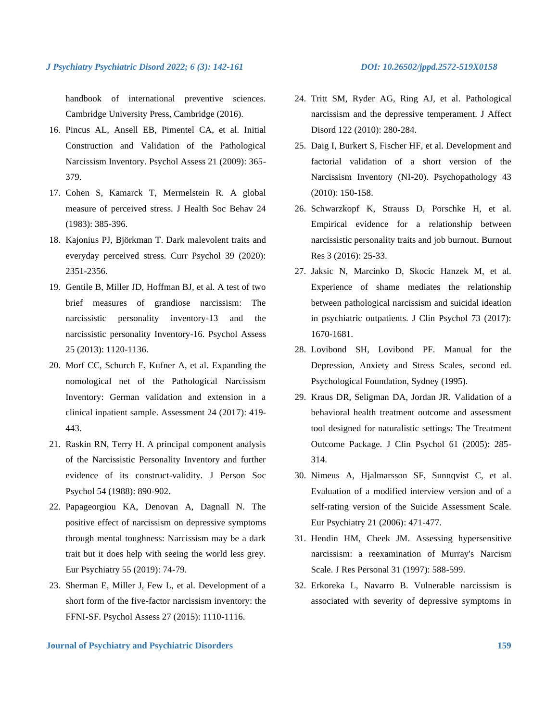handbook of international preventive sciences. Cambridge University Press, Cambridge (2016).

- 16. Pincus AL, Ansell EB, Pimentel CA, et al. Initial Construction and Validation of the Pathological Narcissism Inventory. Psychol Assess 21 (2009): 365- 379.
- 17. Cohen S, Kamarck T, Mermelstein R. A global measure of perceived stress. J Health Soc Behav 24 (1983): 385-396.
- 18. Kajonius PJ, Björkman T. Dark malevolent traits and everyday perceived stress. Curr Psychol 39 (2020): 2351-2356.
- 19. Gentile B, Miller JD, Hoffman BJ, et al. A test of two brief measures of grandiose narcissism: The narcissistic personality inventory-13 and the narcissistic personality Inventory-16. Psychol Assess 25 (2013): 1120-1136.
- 20. Morf CC, Schurch E, Kufner A, et al. Expanding the nomological net of the Pathological Narcissism Inventory: German validation and extension in a clinical inpatient sample. Assessment 24 (2017): 419- 443.
- 21. Raskin RN, Terry H. A principal component analysis of the Narcissistic Personality Inventory and further evidence of its construct-validity. J Person Soc Psychol 54 (1988): 890-902.
- 22. Papageorgiou KA, Denovan A, Dagnall N. The positive effect of narcissism on depressive symptoms through mental toughness: Narcissism may be a dark trait but it does help with seeing the world less grey. Eur Psychiatry 55 (2019): 74-79.
- 23. Sherman E, Miller J, Few L, et al. Development of a short form of the five-factor narcissism inventory: the FFNI-SF. Psychol Assess 27 (2015): 1110-1116.
- 24. Tritt SM, Ryder AG, Ring AJ, et al. Pathological narcissism and the depressive temperament. J Affect Disord 122 (2010): 280-284.
- 25. Daig I, Burkert S, Fischer HF, et al. Development and factorial validation of a short version of the Narcissism Inventory (NI-20). Psychopathology 43 (2010): 150-158.
- 26. Schwarzkopf K, Strauss D, Porschke H, et al. Empirical evidence for a relationship between narcissistic personality traits and job burnout. Burnout Res 3 (2016): 25-33.
- 27. Jaksic N, Marcinko D, Skocic Hanzek M, et al. Experience of shame mediates the relationship between pathological narcissism and suicidal ideation in psychiatric outpatients. J Clin Psychol 73 (2017): 1670-1681.
- 28. Lovibond SH, Lovibond PF. Manual for the Depression, Anxiety and Stress Scales, second ed. Psychological Foundation, Sydney (1995).
- 29. Kraus DR, Seligman DA, Jordan JR. Validation of a behavioral health treatment outcome and assessment tool designed for naturalistic settings: The Treatment Outcome Package. J Clin Psychol 61 (2005): 285- 314.
- 30. Nimeus A, Hjalmarsson SF, Sunnqvist C, et al. Evaluation of a modified interview version and of a self-rating version of the Suicide Assessment Scale. Eur Psychiatry 21 (2006): 471-477.
- 31. Hendin HM, Cheek JM. Assessing hypersensitive narcissism: a reexamination of Murray's Narcism Scale. J Res Personal 31 (1997): 588-599.
- 32. Erkoreka L, Navarro B. Vulnerable narcissism is associated with severity of depressive symptoms in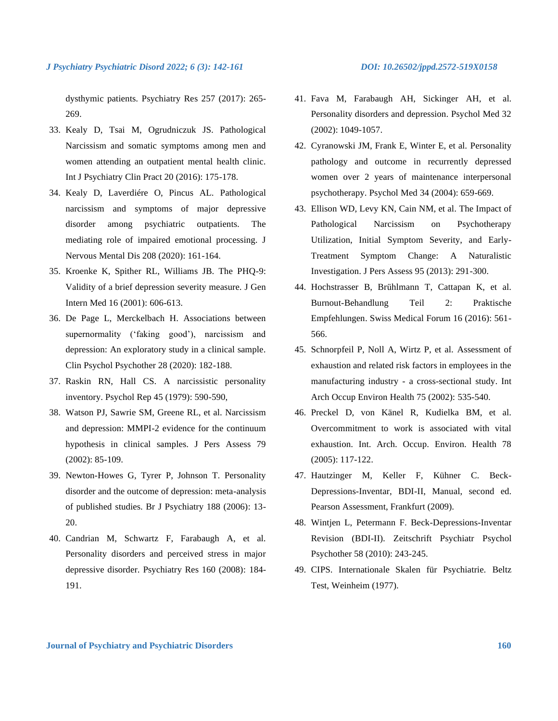dysthymic patients. Psychiatry Res 257 (2017): 265- 269.

- 33. Kealy D, Tsai M, Ogrudniczuk JS. Pathological Narcissism and somatic symptoms among men and women attending an outpatient mental health clinic. Int J Psychiatry Clin Pract 20 (2016): 175-178.
- 34. Kealy D, Laverdiére O, Pincus AL. Pathological narcissism and symptoms of major depressive disorder among psychiatric outpatients. The mediating role of impaired emotional processing. J Nervous Mental Dis 208 (2020): 161-164.
- 35. Kroenke K, Spither RL, Williams JB. The PHQ-9: Validity of a brief depression severity measure. J Gen Intern Med 16 (2001): 606-613.
- 36. De Page L, Merckelbach H. Associations between supernormality ('faking good'), narcissism and depression: An exploratory study in a clinical sample. Clin Psychol Psychother 28 (2020): 182-188.
- 37. Raskin RN, Hall CS. A narcissistic personality inventory. Psychol Rep 45 (1979): 590-590,
- 38. Watson PJ, Sawrie SM, Greene RL, et al. Narcissism and depression: MMPI-2 evidence for the continuum hypothesis in clinical samples. J Pers Assess 79 (2002): 85-109.
- 39. Newton-Howes G, Tyrer P, Johnson T. Personality disorder and the outcome of depression: meta-analysis of published studies. Br J Psychiatry 188 (2006): 13- 20.
- 40. Candrian M, Schwartz F, Farabaugh A, et al. Personality disorders and perceived stress in major depressive disorder. Psychiatry Res 160 (2008): 184- 191.
- 41. Fava M, Farabaugh AH, Sickinger AH, et al. Personality disorders and depression. Psychol Med 32 (2002): 1049-1057.
- 42. Cyranowski JM, Frank E, Winter E, et al. Personality pathology and outcome in recurrently depressed women over 2 years of maintenance interpersonal psychotherapy. Psychol Med 34 (2004): 659-669.
- 43. Ellison WD, Levy KN, Cain NM, et al. The Impact of Pathological Narcissism on Psychotherapy Utilization, Initial Symptom Severity, and Early-Treatment Symptom Change: A Naturalistic Investigation. J Pers Assess 95 (2013): 291-300.
- 44. Hochstrasser B, Brühlmann T, Cattapan K, et al. Burnout-Behandlung Teil 2: Praktische Empfehlungen. Swiss Medical Forum 16 (2016): 561- 566.
- 45. Schnorpfeil P, Noll A, Wirtz P, et al. Assessment of exhaustion and related risk factors in employees in the manufacturing industry - a cross-sectional study. Int Arch Occup Environ Health 75 (2002): 535-540.
- 46. Preckel D, von Känel R, Kudielka BM, et al. Overcommitment to work is associated with vital exhaustion. Int. Arch. Occup. Environ. Health 78 (2005): 117-122.
- 47. Hautzinger M, Keller F, Kühner C. Beck-Depressions-Inventar, BDI-II, Manual, second ed. Pearson Assessment, Frankfurt (2009).
- 48. Wintjen L, Petermann F. Beck-Depressions-Inventar Revision (BDI-II). Zeitschrift Psychiatr Psychol Psychother 58 (2010): 243-245.
- 49. CIPS. Internationale Skalen für Psychiatrie. Beltz Test, Weinheim (1977).